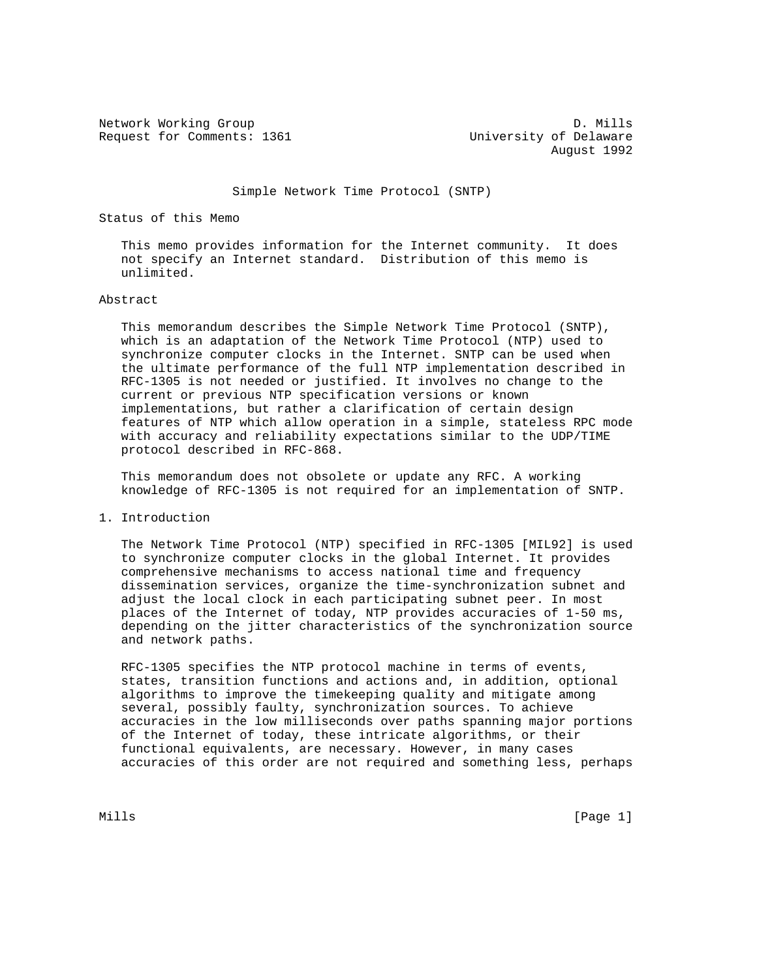Network Working Group D. Mills<br>Request for Comments: 1361 University of Delaware Request for Comments: 1361

August 1992

Simple Network Time Protocol (SNTP)

Status of this Memo

 This memo provides information for the Internet community. It does not specify an Internet standard. Distribution of this memo is unlimited.

## Abstract

 This memorandum describes the Simple Network Time Protocol (SNTP), which is an adaptation of the Network Time Protocol (NTP) used to synchronize computer clocks in the Internet. SNTP can be used when the ultimate performance of the full NTP implementation described in RFC-1305 is not needed or justified. It involves no change to the current or previous NTP specification versions or known implementations, but rather a clarification of certain design features of NTP which allow operation in a simple, stateless RPC mode with accuracy and reliability expectations similar to the UDP/TIME protocol described in RFC-868.

 This memorandum does not obsolete or update any RFC. A working knowledge of RFC-1305 is not required for an implementation of SNTP.

1. Introduction

 The Network Time Protocol (NTP) specified in RFC-1305 [MIL92] is used to synchronize computer clocks in the global Internet. It provides comprehensive mechanisms to access national time and frequency dissemination services, organize the time-synchronization subnet and adjust the local clock in each participating subnet peer. In most places of the Internet of today, NTP provides accuracies of 1-50 ms, depending on the jitter characteristics of the synchronization source and network paths.

 RFC-1305 specifies the NTP protocol machine in terms of events, states, transition functions and actions and, in addition, optional algorithms to improve the timekeeping quality and mitigate among several, possibly faulty, synchronization sources. To achieve accuracies in the low milliseconds over paths spanning major portions of the Internet of today, these intricate algorithms, or their functional equivalents, are necessary. However, in many cases accuracies of this order are not required and something less, perhaps

Mills [Page 1]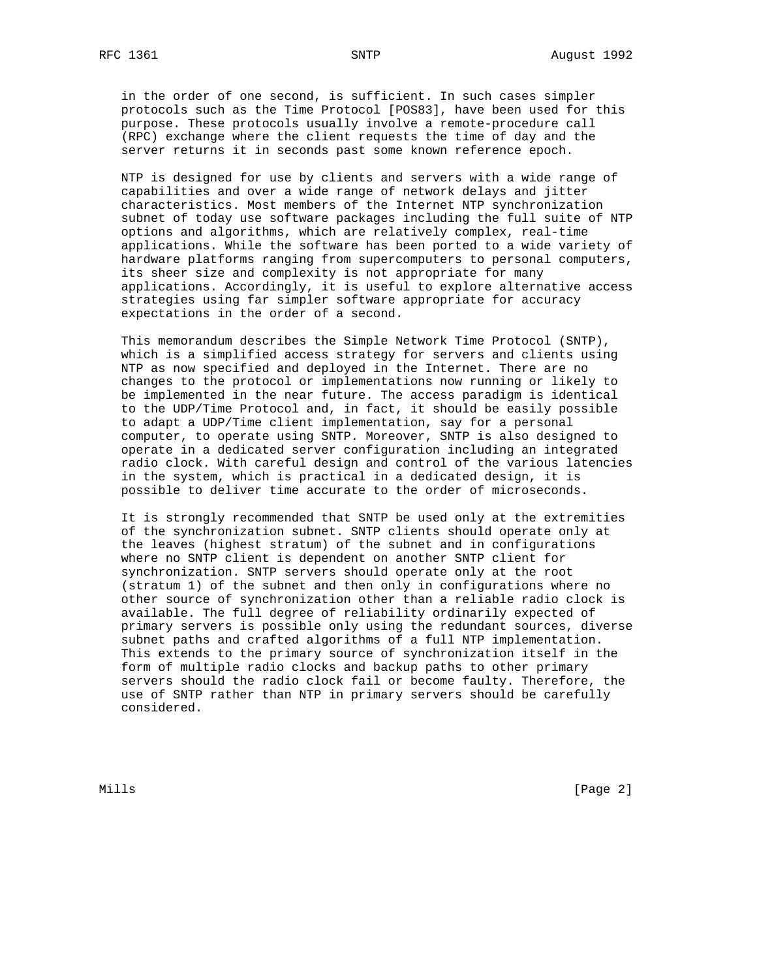in the order of one second, is sufficient. In such cases simpler protocols such as the Time Protocol [POS83], have been used for this purpose. These protocols usually involve a remote-procedure call (RPC) exchange where the client requests the time of day and the server returns it in seconds past some known reference epoch.

 NTP is designed for use by clients and servers with a wide range of capabilities and over a wide range of network delays and jitter characteristics. Most members of the Internet NTP synchronization subnet of today use software packages including the full suite of NTP options and algorithms, which are relatively complex, real-time applications. While the software has been ported to a wide variety of hardware platforms ranging from supercomputers to personal computers, its sheer size and complexity is not appropriate for many applications. Accordingly, it is useful to explore alternative access strategies using far simpler software appropriate for accuracy expectations in the order of a second.

 This memorandum describes the Simple Network Time Protocol (SNTP), which is a simplified access strategy for servers and clients using NTP as now specified and deployed in the Internet. There are no changes to the protocol or implementations now running or likely to be implemented in the near future. The access paradigm is identical to the UDP/Time Protocol and, in fact, it should be easily possible to adapt a UDP/Time client implementation, say for a personal computer, to operate using SNTP. Moreover, SNTP is also designed to operate in a dedicated server configuration including an integrated radio clock. With careful design and control of the various latencies in the system, which is practical in a dedicated design, it is possible to deliver time accurate to the order of microseconds.

 It is strongly recommended that SNTP be used only at the extremities of the synchronization subnet. SNTP clients should operate only at the leaves (highest stratum) of the subnet and in configurations where no SNTP client is dependent on another SNTP client for synchronization. SNTP servers should operate only at the root (stratum 1) of the subnet and then only in configurations where no other source of synchronization other than a reliable radio clock is available. The full degree of reliability ordinarily expected of primary servers is possible only using the redundant sources, diverse subnet paths and crafted algorithms of a full NTP implementation. This extends to the primary source of synchronization itself in the form of multiple radio clocks and backup paths to other primary servers should the radio clock fail or become faulty. Therefore, the use of SNTP rather than NTP in primary servers should be carefully considered.

Mills [Page 2]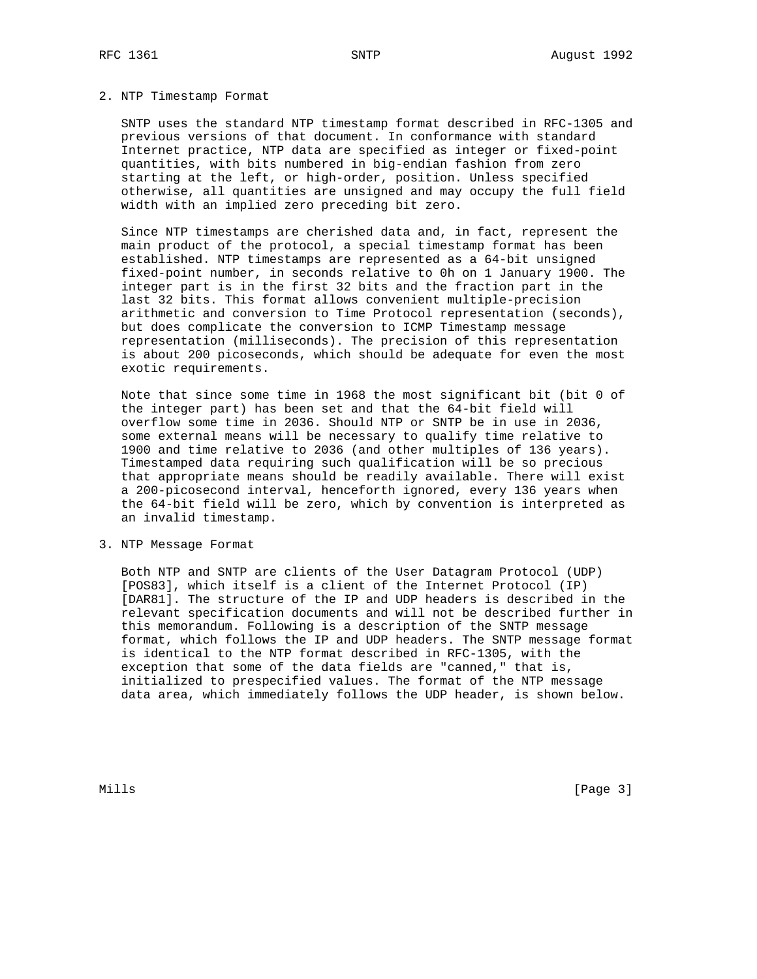## 2. NTP Timestamp Format

 SNTP uses the standard NTP timestamp format described in RFC-1305 and previous versions of that document. In conformance with standard Internet practice, NTP data are specified as integer or fixed-point quantities, with bits numbered in big-endian fashion from zero starting at the left, or high-order, position. Unless specified otherwise, all quantities are unsigned and may occupy the full field width with an implied zero preceding bit zero.

 Since NTP timestamps are cherished data and, in fact, represent the main product of the protocol, a special timestamp format has been established. NTP timestamps are represented as a 64-bit unsigned fixed-point number, in seconds relative to 0h on 1 January 1900. The integer part is in the first 32 bits and the fraction part in the last 32 bits. This format allows convenient multiple-precision arithmetic and conversion to Time Protocol representation (seconds), but does complicate the conversion to ICMP Timestamp message representation (milliseconds). The precision of this representation is about 200 picoseconds, which should be adequate for even the most exotic requirements.

 Note that since some time in 1968 the most significant bit (bit 0 of the integer part) has been set and that the 64-bit field will overflow some time in 2036. Should NTP or SNTP be in use in 2036, some external means will be necessary to qualify time relative to 1900 and time relative to 2036 (and other multiples of 136 years). Timestamped data requiring such qualification will be so precious that appropriate means should be readily available. There will exist a 200-picosecond interval, henceforth ignored, every 136 years when the 64-bit field will be zero, which by convention is interpreted as an invalid timestamp.

3. NTP Message Format

 Both NTP and SNTP are clients of the User Datagram Protocol (UDP) [POS83], which itself is a client of the Internet Protocol (IP) [DAR81]. The structure of the IP and UDP headers is described in the relevant specification documents and will not be described further in this memorandum. Following is a description of the SNTP message format, which follows the IP and UDP headers. The SNTP message format is identical to the NTP format described in RFC-1305, with the exception that some of the data fields are "canned," that is, initialized to prespecified values. The format of the NTP message data area, which immediately follows the UDP header, is shown below.

Mills [Page 3]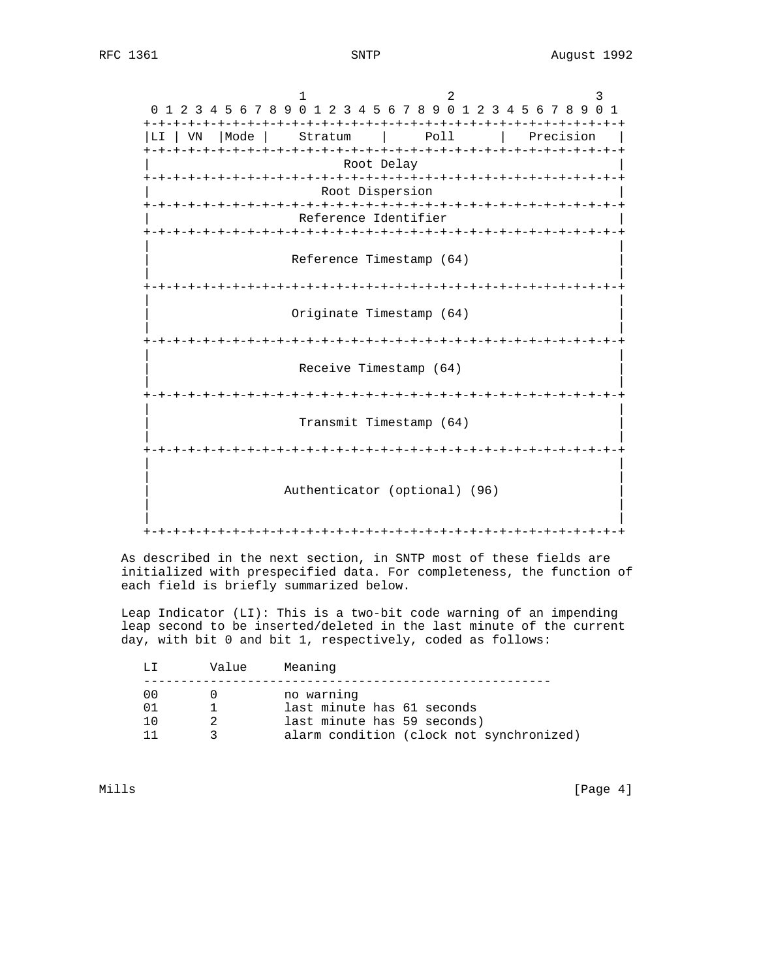1 2 3 0 1 2 3 4 5 6 7 8 9 0 1 2 3 4 5 6 7 8 9 0 1 2 3 4 5 6 7 8 9 0 1 +-+-+-+-+-+-+-+-+-+-+-+-+-+-+-+-+-+-+-+-+-+-+-+-+-+-+-+-+-+-+-+-+ |LI | VN | Mode | Stratum | Poll | Precision +-+-+-+-+-+-+-+-+-+-+-+-+-+-+-+-+-+-+-+-+-+-+-+-+-+-+-+-+-+-+-+-+ Root Delay +-+-+-+-+-+-+-+-+-+-+-+-+-+-+-+-+-+-+-+-+-+-+-+-+-+-+-+-+-+-+-+-+ Root Dispersion +-+-+-+-+-+-+-+-+-+-+-+-+-+-+-+-+-+-+-+-+-+-+-+-+-+-+-+-+-+-+-+-+ Reference Identifier +-+-+-+-+-+-+-+-+-+-+-+-+-+-+-+-+-+-+-+-+-+-+-+-+-+-+-+-+-+-+-+-+ | | Reference Timestamp (64) | | +-+-+-+-+-+-+-+-+-+-+-+-+-+-+-+-+-+-+-+-+-+-+-+-+-+-+-+-+-+-+-+-+ | | Originate Timestamp (64) | | +-+-+-+-+-+-+-+-+-+-+-+-+-+-+-+-+-+-+-+-+-+-+-+-+-+-+-+-+-+-+-+-+ | | Receive Timestamp (64) | | +-+-+-+-+-+-+-+-+-+-+-+-+-+-+-+-+-+-+-+-+-+-+-+-+-+-+-+-+-+-+-+-+ | | Transmit Timestamp (64) | | +-+-+-+-+-+-+-+-+-+-+-+-+-+-+-+-+-+-+-+-+-+-+-+-+-+-+-+-+-+-+-+-+ | | | | Authenticator (optional) (96) | | | | +-+-+-+-+-+-+-+-+-+-+-+-+-+-+-+-+-+-+-+-+-+-+-+-+-+-+-+-+-+-+-+-+

 As described in the next section, in SNTP most of these fields are initialized with prespecified data. For completeness, the function of each field is briefly summarized below.

 Leap Indicator (LI): This is a two-bit code warning of an impending leap second to be inserted/deleted in the last minute of the current day, with bit 0 and bit 1, respectively, coded as follows:

| T.T.            | Value | Meaning                                                                                                             |
|-----------------|-------|---------------------------------------------------------------------------------------------------------------------|
| 00<br>01<br>1 ດ |       | no warning<br>last minute has 61 seconds<br>last minute has 59 seconds)<br>alarm condition (clock not synchronized) |
|                 |       |                                                                                                                     |

Mills [Page 4]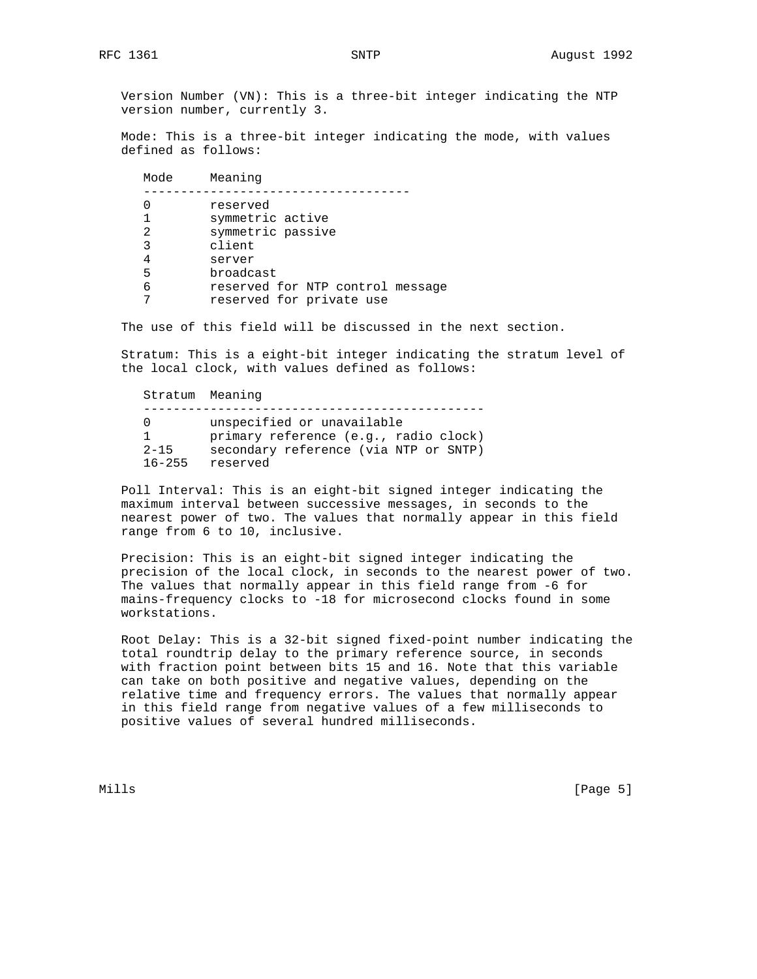Version Number (VN): This is a three-bit integer indicating the NTP version number, currently 3.

 Mode: This is a three-bit integer indicating the mode, with values defined as follows:

| Mode | Meaning                          |
|------|----------------------------------|
|      | reserved                         |
|      | symmetric active                 |
| 2    | symmetric passive                |
| 3    | client                           |
| 4    | server                           |
| 5    | broadcast                        |
| 6    | reserved for NTP control message |
|      | reserved for private use         |
|      |                                  |

The use of this field will be discussed in the next section.

 Stratum: This is a eight-bit integer indicating the stratum level of the local clock, with values defined as follows:

 Stratum Meaning ---------------------------------------------- 0 unspecified or unavailable 1 primary reference (e.g., radio clock) 2-15 secondary reference (via NTP or SNTP) 16-255 reserved

 Poll Interval: This is an eight-bit signed integer indicating the maximum interval between successive messages, in seconds to the nearest power of two. The values that normally appear in this field range from 6 to 10, inclusive.

 Precision: This is an eight-bit signed integer indicating the precision of the local clock, in seconds to the nearest power of two. The values that normally appear in this field range from -6 for mains-frequency clocks to -18 for microsecond clocks found in some workstations.

 Root Delay: This is a 32-bit signed fixed-point number indicating the total roundtrip delay to the primary reference source, in seconds with fraction point between bits 15 and 16. Note that this variable can take on both positive and negative values, depending on the relative time and frequency errors. The values that normally appear in this field range from negative values of a few milliseconds to positive values of several hundred milliseconds.

Mills [Page 5]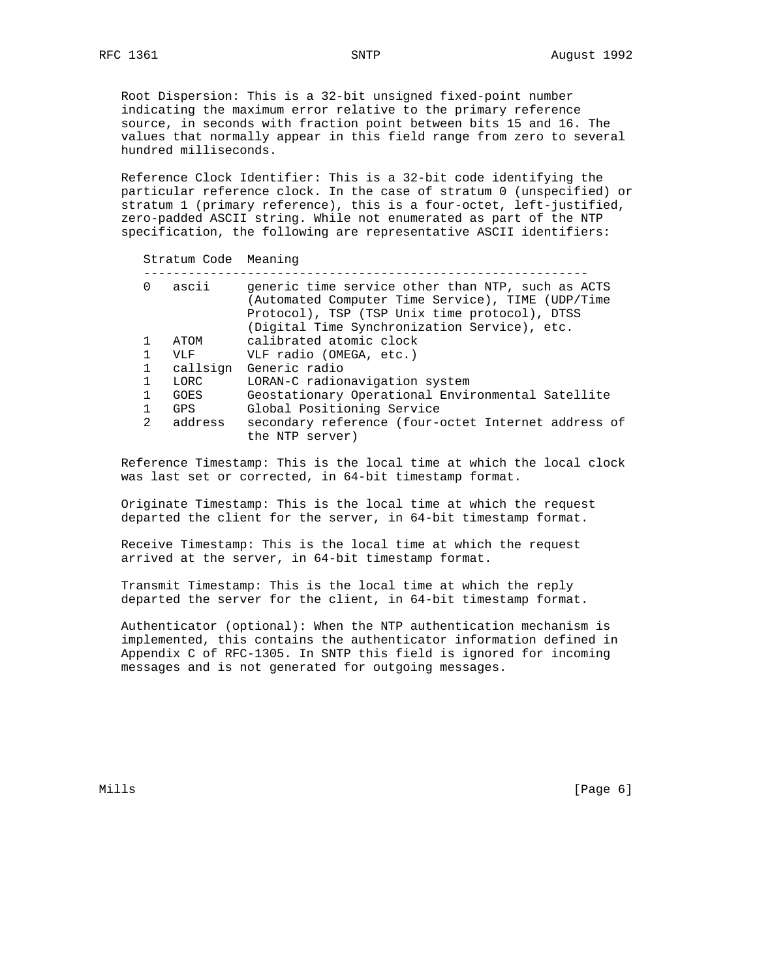Root Dispersion: This is a 32-bit unsigned fixed-point number indicating the maximum error relative to the primary reference source, in seconds with fraction point between bits 15 and 16. The values that normally appear in this field range from zero to several hundred milliseconds.

 Reference Clock Identifier: This is a 32-bit code identifying the particular reference clock. In the case of stratum 0 (unspecified) or stratum 1 (primary reference), this is a four-octet, left-justified, zero-padded ASCII string. While not enumerated as part of the NTP specification, the following are representative ASCII identifiers:

| Stratum Code Meaning |             |                                                                                                                                                                                                         |  |
|----------------------|-------------|---------------------------------------------------------------------------------------------------------------------------------------------------------------------------------------------------------|--|
| $\Omega$             | ascii       | generic time service other than NTP, such as ACTS<br>(Automated Computer Time Service), TIME (UDP/Time<br>Protocol), TSP (TSP Unix time protocol), DTSS<br>(Digital Time Synchronization Service), etc. |  |
|                      | ATOM        | calibrated atomic clock                                                                                                                                                                                 |  |
| 1                    | VLF         | VLF radio (OMEGA, etc.)                                                                                                                                                                                 |  |
| 1                    | callsign    | Generic radio                                                                                                                                                                                           |  |
|                      | LORC        | LORAN-C radionavigation system                                                                                                                                                                          |  |
| 1                    | <b>GOES</b> | Geostationary Operational Environmental Satellite                                                                                                                                                       |  |
|                      | <b>GPS</b>  | Global Positioning Service                                                                                                                                                                              |  |
| $\overline{2}$       | address     | secondary reference (four-octet Internet address of<br>the NTP server)                                                                                                                                  |  |

 Reference Timestamp: This is the local time at which the local clock was last set or corrected, in 64-bit timestamp format.

 Originate Timestamp: This is the local time at which the request departed the client for the server, in 64-bit timestamp format.

 Receive Timestamp: This is the local time at which the request arrived at the server, in 64-bit timestamp format.

 Transmit Timestamp: This is the local time at which the reply departed the server for the client, in 64-bit timestamp format.

 Authenticator (optional): When the NTP authentication mechanism is implemented, this contains the authenticator information defined in Appendix C of RFC-1305. In SNTP this field is ignored for incoming messages and is not generated for outgoing messages.

Mills [Page 6] [Page 6] [Page 6] [Page 6] [Page 6] [Page 6] [Page 6] [Page 6] [Page 6] [Page 6] [Page 6] [Page 6] [Page 6] [Page 6] [Page 6] [Page 6] [Page 6] [Page 6] [Page 6] [Page 6] [Page 6] [Page 6] [Page 6] [Page 6]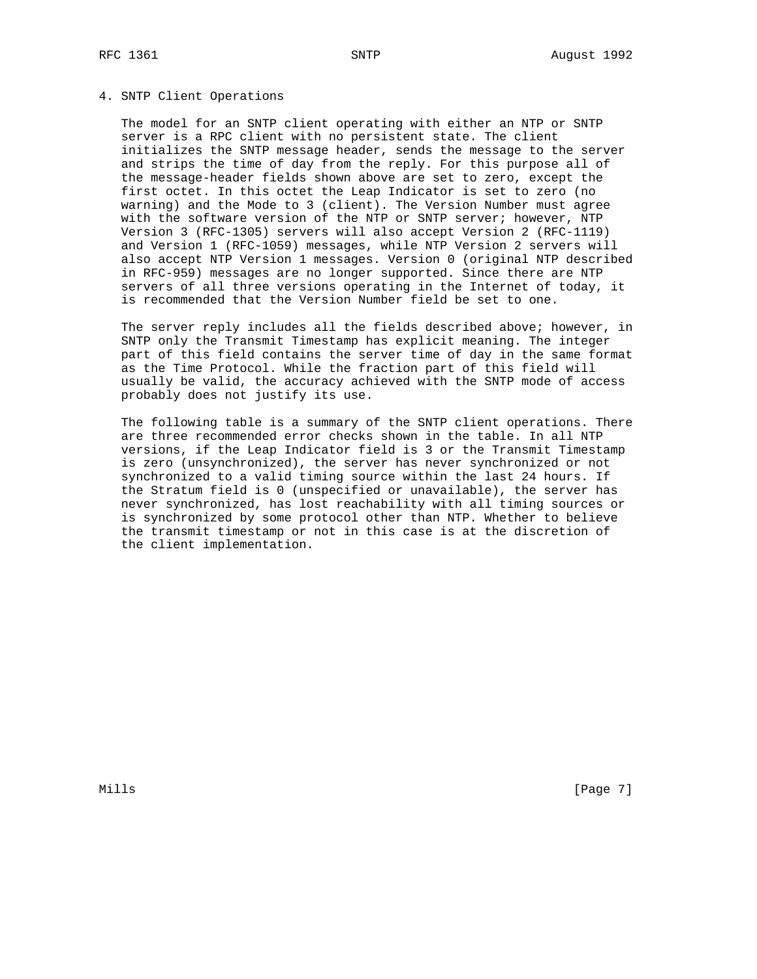## 4. SNTP Client Operations

 The model for an SNTP client operating with either an NTP or SNTP server is a RPC client with no persistent state. The client initializes the SNTP message header, sends the message to the server and strips the time of day from the reply. For this purpose all of the message-header fields shown above are set to zero, except the first octet. In this octet the Leap Indicator is set to zero (no warning) and the Mode to 3 (client). The Version Number must agree with the software version of the NTP or SNTP server; however, NTP Version 3 (RFC-1305) servers will also accept Version 2 (RFC-1119) and Version 1 (RFC-1059) messages, while NTP Version 2 servers will also accept NTP Version 1 messages. Version 0 (original NTP described in RFC-959) messages are no longer supported. Since there are NTP servers of all three versions operating in the Internet of today, it is recommended that the Version Number field be set to one.

 The server reply includes all the fields described above; however, in SNTP only the Transmit Timestamp has explicit meaning. The integer part of this field contains the server time of day in the same format as the Time Protocol. While the fraction part of this field will usually be valid, the accuracy achieved with the SNTP mode of access probably does not justify its use.

 The following table is a summary of the SNTP client operations. There are three recommended error checks shown in the table. In all NTP versions, if the Leap Indicator field is 3 or the Transmit Timestamp is zero (unsynchronized), the server has never synchronized or not synchronized to a valid timing source within the last 24 hours. If the Stratum field is 0 (unspecified or unavailable), the server has never synchronized, has lost reachability with all timing sources or is synchronized by some protocol other than NTP. Whether to believe the transmit timestamp or not in this case is at the discretion of the client implementation.

Mills [Page 7] [Page 7] [Page 7] [Page 7] [Page 7] [Page 7] [Page 7] [Page 7] [Page 7] [Page 7] [Page 7] [Page 7] [Page 7] [Page 7] [Page 7] [Page 7] [Page 7] [Page 7] [Page 7] [Page 7] [Page 7] [Page 7] [Page 7] [Page 7]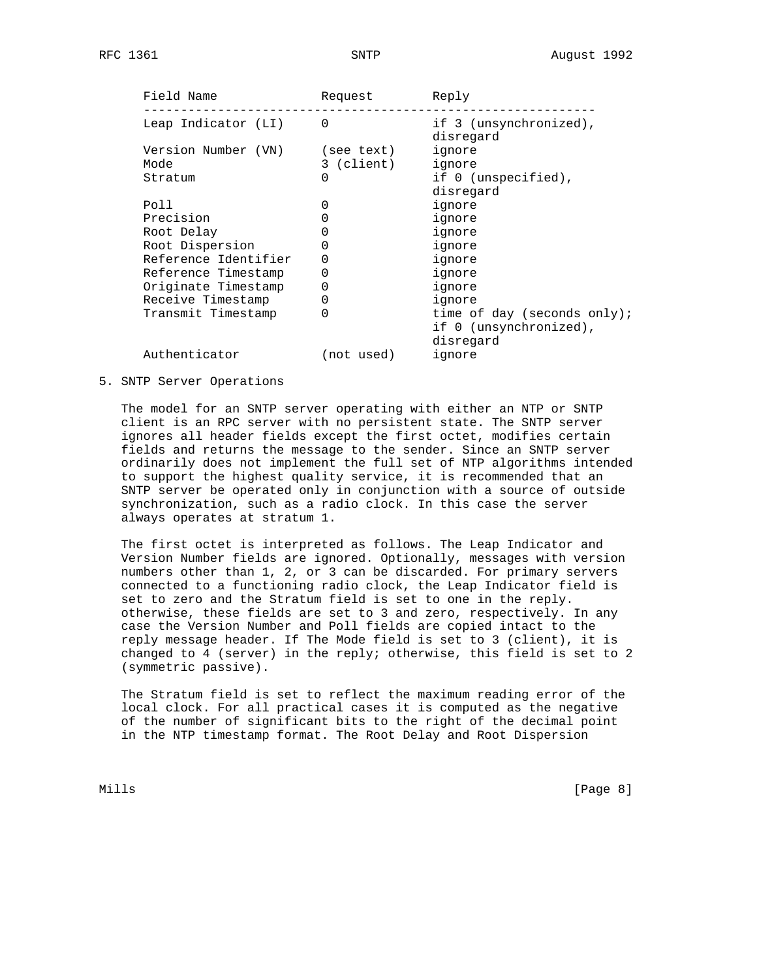| Field Name           | Request    | Reply                               |
|----------------------|------------|-------------------------------------|
| Leap Indicator (LI)  | $\Omega$   | if 3 (unsynchronized),<br>disregard |
| Version Number (VN)  | (see text) | ignore                              |
| Mode                 | 3 (client) | ignore                              |
| Stratum              | 0          | if 0 (unspecified),                 |
|                      |            | disregard                           |
| Poll                 |            | ignore                              |
| Precision            |            | ignore                              |
| Root Delay           |            | ignore                              |
| Root Dispersion      |            | ignore                              |
| Reference Identifier | 0          | ignore                              |
| Reference Timestamp  | 0          | ignore                              |
| Originate Timestamp  | 0          | ignore                              |
| Receive Timestamp    | 0          | ignore                              |
| Transmit Timestamp   | 0          | time of day (seconds only);         |
|                      |            | if 0 (unsynchronized),              |
|                      |            | disregard                           |
| Authenticator        | (not used) | ignore                              |
|                      |            |                                     |

5. SNTP Server Operations

 The model for an SNTP server operating with either an NTP or SNTP client is an RPC server with no persistent state. The SNTP server ignores all header fields except the first octet, modifies certain fields and returns the message to the sender. Since an SNTP server ordinarily does not implement the full set of NTP algorithms intended to support the highest quality service, it is recommended that an SNTP server be operated only in conjunction with a source of outside synchronization, such as a radio clock. In this case the server always operates at stratum 1.

 The first octet is interpreted as follows. The Leap Indicator and Version Number fields are ignored. Optionally, messages with version numbers other than 1, 2, or 3 can be discarded. For primary servers connected to a functioning radio clock, the Leap Indicator field is set to zero and the Stratum field is set to one in the reply. otherwise, these fields are set to 3 and zero, respectively. In any case the Version Number and Poll fields are copied intact to the reply message header. If The Mode field is set to 3 (client), it is changed to 4 (server) in the reply; otherwise, this field is set to 2 (symmetric passive).

 The Stratum field is set to reflect the maximum reading error of the local clock. For all practical cases it is computed as the negative of the number of significant bits to the right of the decimal point in the NTP timestamp format. The Root Delay and Root Dispersion

Mills **Example 20** (Page 8)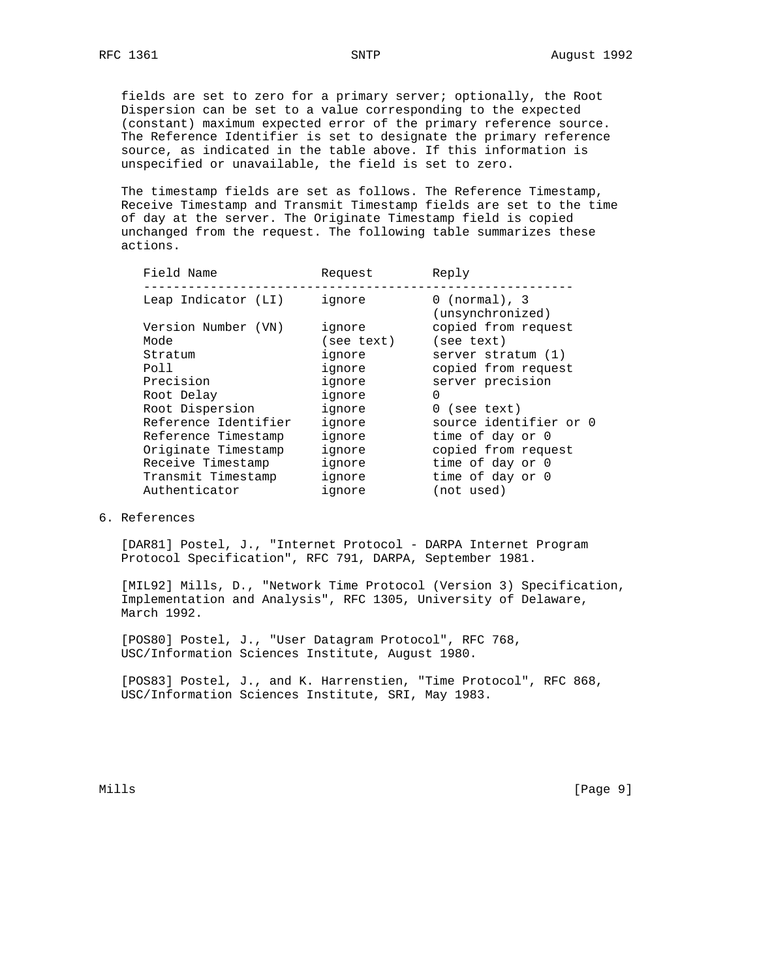fields are set to zero for a primary server; optionally, the Root Dispersion can be set to a value corresponding to the expected (constant) maximum expected error of the primary reference source. The Reference Identifier is set to designate the primary reference source, as indicated in the table above. If this information is unspecified or unavailable, the field is set to zero.

 The timestamp fields are set as follows. The Reference Timestamp, Receive Timestamp and Transmit Timestamp fields are set to the time of day at the server. The Originate Timestamp field is copied unchanged from the request. The following table summarizes these actions.

| Field Name           | Request    | Reply                                        |
|----------------------|------------|----------------------------------------------|
| Leap Indicator (LI)  | ignore     | $0 \text{ (normal)}$ , 3<br>(unsynchronized) |
| Version Number (VN)  | ignore     | copied from request                          |
| Mode                 | (see text) | (see text)                                   |
| Stratum              | ignore     | server stratum (1)                           |
| Poll                 | ignore     | copied from request                          |
| Precision            | ignore     | server precision                             |
| Root Delay           | ignore     | 0                                            |
| Root Dispersion      | ignore     | $0$ (see text)                               |
| Reference Identifier | ignore     | source identifier or 0                       |
| Reference Timestamp  | ignore     | time of day or 0                             |
| Originate Timestamp  | ignore     | copied from request                          |
| Receive Timestamp    | ignore     | time of day or 0                             |
| Transmit Timestamp   | ignore     | time of day or 0                             |
| Authenticator        | ignore     | (not used)                                   |
|                      |            |                                              |

## 6. References

 [DAR81] Postel, J., "Internet Protocol - DARPA Internet Program Protocol Specification", RFC 791, DARPA, September 1981.

 [MIL92] Mills, D., "Network Time Protocol (Version 3) Specification, Implementation and Analysis", RFC 1305, University of Delaware, March 1992.

 [POS80] Postel, J., "User Datagram Protocol", RFC 768, USC/Information Sciences Institute, August 1980.

 [POS83] Postel, J., and K. Harrenstien, "Time Protocol", RFC 868, USC/Information Sciences Institute, SRI, May 1983.

Mills [Page 9]